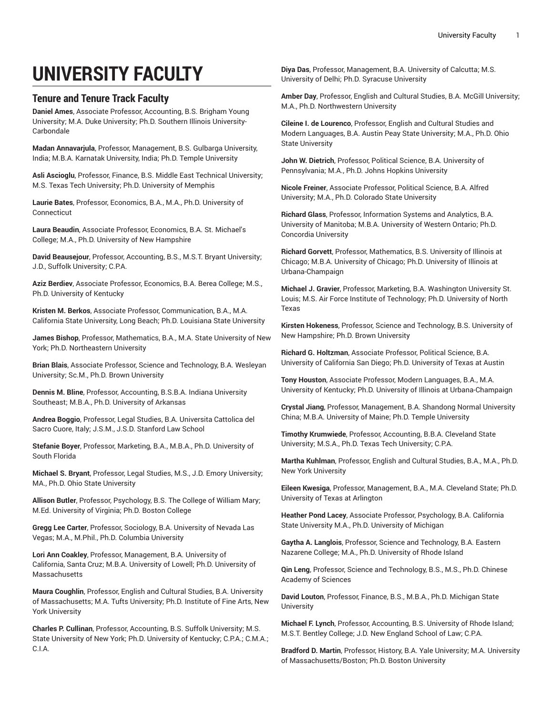## **UNIVERSITY FACULTY**

## **Tenure and Tenure Track Faculty**

**Daniel Ames**, Associate Professor, Accounting, B.S. Brigham Young University; M.A. Duke University; Ph.D. Southern Illinois University-Carbondale

**Madan Annavarjula**, Professor, Management, B.S. Gulbarga University, India; M.B.A. Karnatak University, India; Ph.D. Temple University

**Asli Ascioglu**, Professor, Finance, B.S. Middle East Technical University; M.S. Texas Tech University; Ph.D. University of Memphis

**Laurie Bates**, Professor, Economics, B.A., M.A., Ph.D. University of Connecticut

**Laura Beaudin**, Associate Professor, Economics, B.A. St. Michael's College; M.A., Ph.D. University of New Hampshire

**David Beausejour**, Professor, Accounting, B.S., M.S.T. Bryant University; J.D., Suffolk University; C.P.A.

**Aziz Berdiev**, Associate Professor, Economics, B.A. Berea College; M.S., Ph.D. University of Kentucky

**Kristen M. Berkos**, Associate Professor, Communication, B.A., M.A. California State University, Long Beach; Ph.D. Louisiana State University

**James Bishop**, Professor, Mathematics, B.A., M.A. State University of New York; Ph.D. Northeastern University

**Brian Blais**, Associate Professor, Science and Technology, B.A. Wesleyan University; Sc.M., Ph.D. Brown University

**Dennis M. Bline**, Professor, Accounting, B.S.B.A. Indiana University Southeast; M.B.A., Ph.D. University of Arkansas

**Andrea Boggio**, Professor, Legal Studies, B.A. Universita Cattolica del Sacro Cuore, Italy; J.S.M., J.S.D. Stanford Law School

**Stefanie Boyer**, Professor, Marketing, B.A., M.B.A., Ph.D. University of South Florida

**Michael S. Bryant**, Professor, Legal Studies, M.S., J.D. Emory University; MA., Ph.D. Ohio State University

**Allison Butler**, Professor, Psychology, B.S. The College of William Mary; M.Ed. University of Virginia; Ph.D. Boston College

**Gregg Lee Carter**, Professor, Sociology, B.A. University of Nevada Las Vegas; M.A., M.Phil., Ph.D. Columbia University

**Lori Ann Coakley**, Professor, Management, B.A. University of California, Santa Cruz; M.B.A. University of Lowell; Ph.D. University of Massachusetts

**Maura Coughlin**, Professor, English and Cultural Studies, B.A. University of Massachusetts; M.A. Tufts University; Ph.D. Institute of Fine Arts, New York University

**Charles P. Cullinan**, Professor, Accounting, B.S. Suffolk University; M.S. State University of New York; Ph.D. University of Kentucky; C.P.A.; C.M.A.; C.I.A.

**Diya Das**, Professor, Management, B.A. University of Calcutta; M.S. University of Delhi; Ph.D. Syracuse University

**Amber Day**, Professor, English and Cultural Studies, B.A. McGill University; M.A., Ph.D. Northwestern University

**Cileine I. de Lourenco**, Professor, English and Cultural Studies and Modern Languages, B.A. Austin Peay State University; M.A., Ph.D. Ohio State University

**John W. Dietrich**, Professor, Political Science, B.A. University of Pennsylvania; M.A., Ph.D. Johns Hopkins University

**Nicole Freiner**, Associate Professor, Political Science, B.A. Alfred University; M.A., Ph.D. Colorado State University

**Richard Glass**, Professor, Information Systems and Analytics, B.A. University of Manitoba; M.B.A. University of Western Ontario; Ph.D. Concordia University

**Richard Gorvett**, Professor, Mathematics, B.S. University of Illinois at Chicago; M.B.A. University of Chicago; Ph.D. University of Illinois at Urbana-Champaign

**Michael J. Gravier**, Professor, Marketing, B.A. Washington University St. Louis; M.S. Air Force Institute of Technology; Ph.D. University of North Texas

**Kirsten Hokeness**, Professor, Science and Technology, B.S. University of New Hampshire; Ph.D. Brown University

**Richard G. Holtzman**, Associate Professor, Political Science, B.A. University of California San Diego; Ph.D. University of Texas at Austin

**Tony Houston**, Associate Professor, Modern Languages, B.A., M.A. University of Kentucky; Ph.D. University of Illinois at Urbana-Champaign

**Crystal Jiang**, Professor, Management, B.A. Shandong Normal University China; M.B.A. University of Maine; Ph.D. Temple University

**Timothy Krumwiede**, Professor, Accounting, B.B.A. Cleveland State University; M.S.A., Ph.D. Texas Tech University; C.P.A.

**Martha Kuhlman**, Professor, English and Cultural Studies, B.A., M.A., Ph.D. New York University

**Eileen Kwesiga**, Professor, Management, B.A., M.A. Cleveland State; Ph.D. University of Texas at Arlington

**Heather Pond Lacey**, Associate Professor, Psychology, B.A. California State University M.A., Ph.D. University of Michigan

**Gaytha A. Langlois**, Professor, Science and Technology, B.A. Eastern Nazarene College; M.A., Ph.D. University of Rhode Island

**Qin Leng**, Professor, Science and Technology, B.S., M.S., Ph.D. Chinese Academy of Sciences

**David Louton**, Professor, Finance, B.S., M.B.A., Ph.D. Michigan State University

**Michael F. Lynch**, Professor, Accounting, B.S. University of Rhode Island; M.S.T. Bentley College; J.D. New England School of Law; C.P.A.

**Bradford D. Martin**, Professor, History, B.A. Yale University; M.A. University of Massachusetts/Boston; Ph.D. Boston University